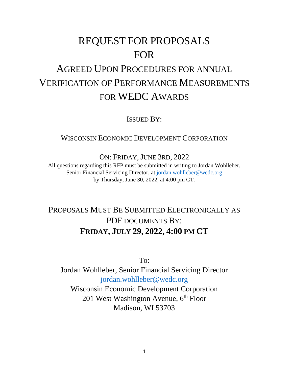# REQUEST FOR PROPOSALS FOR

## AGREED UPON PROCEDURES FOR ANNUAL VERIFICATION OF PERFORMANCE MEASUREMENTS FOR WEDC AWARDS

ISSUED BY:

WISCONSIN ECONOMIC DEVELOPMENT CORPORATION

ON: FRIDAY, JUNE 3RD, 2022

All questions regarding this RFP must be submitted in writing to Jordan Wohlleber, Senior Financial Servicing Director, at [jordan.wohlleber@wedc.org](mailto:jordan.wohlleber@wedc.org) by Thursday, June 30, 2022, at 4:00 pm CT.

### PROPOSALS MUST BE SUBMITTED ELECTRONICALLY AS PDF DOCUMENTS BY: **FRIDAY, JULY 29, 2022, 4:00 PM CT**

To:

Jordan Wohlleber, Senior Financial Servicing Director [jordan.wohlleber@wedc.org](mailto:jordan.wohlleber@wedc.org) Wisconsin Economic Development Corporation 201 West Washington Avenue, 6<sup>th</sup> Floor Madison, WI 53703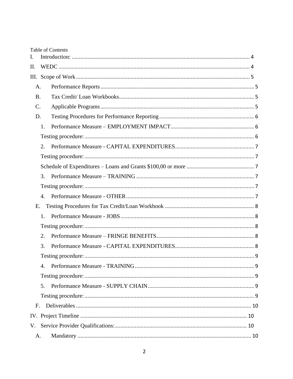| L           |                  | <b>Table of Contents</b> |  |
|-------------|------------------|--------------------------|--|
| II.         |                  |                          |  |
| III.        |                  |                          |  |
| A.          |                  |                          |  |
| <b>B.</b>   |                  |                          |  |
| C.          |                  |                          |  |
| D.          |                  |                          |  |
|             | 1.               |                          |  |
|             |                  |                          |  |
|             | 2.               |                          |  |
|             |                  |                          |  |
|             |                  |                          |  |
|             | 3.               |                          |  |
|             |                  |                          |  |
|             | $\overline{4}$ . |                          |  |
| E.          |                  |                          |  |
|             | 1.               |                          |  |
|             |                  |                          |  |
|             | 2.               |                          |  |
|             | 3.               |                          |  |
|             |                  |                          |  |
|             | 4.               |                          |  |
|             |                  |                          |  |
|             | 5.               |                          |  |
|             |                  |                          |  |
| $F_{\cdot}$ |                  |                          |  |
|             |                  |                          |  |
|             |                  |                          |  |
| A.          |                  |                          |  |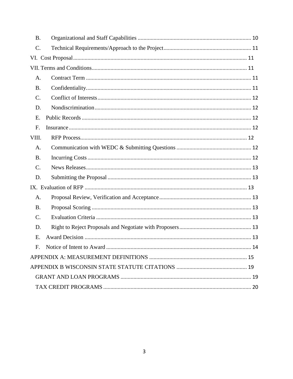| <b>B.</b>       |                                 |
|-----------------|---------------------------------|
| C.              |                                 |
|                 |                                 |
|                 |                                 |
| A.              |                                 |
| <b>B.</b>       |                                 |
| $\mathcal{C}$ . |                                 |
| D.              |                                 |
| Ε.              |                                 |
| F.              |                                 |
| VIII.           |                                 |
| A.              |                                 |
| <b>B.</b>       |                                 |
| C.              |                                 |
| D.              |                                 |
|                 |                                 |
| A.              |                                 |
| <b>B.</b>       |                                 |
| C.              |                                 |
| D.              |                                 |
| Ε.              |                                 |
| F.              | Notice of Intent to Award<br>14 |
|                 |                                 |
|                 |                                 |
|                 |                                 |
|                 |                                 |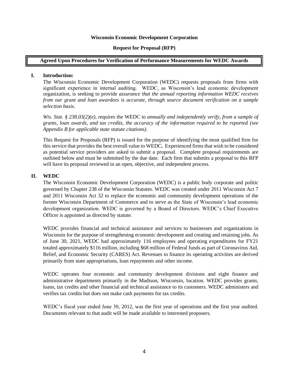#### **Wisconsin Economic Development Corporation**

#### **Request for Proposal (RFP)**

#### **Agreed Upon Procedures for Verification of Performance Measurements for WEDC Awards**

#### <span id="page-3-0"></span>**I. Introduction:**

The Wisconsin Economic Development Corporation (WEDC) requests proposals from firms with significant experience in internal auditing. WEDC, as Wisconsin's lead economic development organization, is seeking to provide *assurance that the annual reporting information WEDC receives from our grant and loan awardees is accurate, through source document verification on a sample selection basis.* 

*Wis. Stat. § 238.03(2)(e),* requires the WEDC to *annually and independently verify, from a sample of grants, loan awards, and tax credits, the accuracy of the information required to be reported (see Appendix B for applicable state statute citations).*

This Request for Proposals (RFP) is issued for the purpose of identifying the most qualified firm for this service that provides the best overall value to WEDC*.* Experienced firms that wish to be considered as potential service providers are asked to submit a proposal. Complete proposal requirements are outlined below and must be submitted by the due date. Each firm that submits a proposal to this RFP will have its proposal reviewed in an open, objective, and independent process.

#### <span id="page-3-1"></span>**II. WEDC**

The Wisconsin Economic Development Corporation (WEDC) is a public body corporate and politic governed by Chapter 238 of the Wisconsin Statutes. WEDC was created under 2011 Wisconsin Act 7 and 2011 Wisconsin Act 32 to replace the economic and community development operations of the former Wisconsin Department of Commerce and to serve as the State of Wisconsin's lead economic development organization. WEDC is governed by a Board of Directors. WEDC's Chief Executive Officer is appointed as directed by statute.

WEDC provides financial and technical assistance and services to businesses and organizations in Wisconsin for the purpose of strengthening economic development and creating and retaining jobs. As of June 30, 2021, WEDC had approximately 116 employees and operating expenditures for FY21 totaled approximately \$116 million, including \$68 million of Federal funds as part of Coronavirus Aid, Relief, and Economic Security (CARES) Act. Revenues to finance its operating activities are derived primarily from state appropriations, loan repayments and other income.

WEDC operates four economic and community development divisions and eight finance and administrative departments primarily in the Madison, Wisconsin, location. WEDC provides grants, loans, tax credits and other financial and technical assistance to its customers. WEDC administers and verifies tax credits but does not make cash payments for tax credits.

WEDC's fiscal year ended June 30, 2012, was the first year of operations and the first year audited. Documents relevant to that audit will be made available to interested proposers.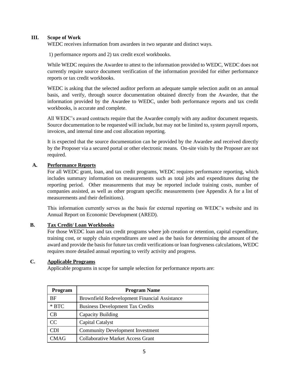#### <span id="page-4-0"></span>**III. Scope of Work**

WEDC receives information from awardees in two separate and distinct ways.

1) performance reports and 2) tax credit excel workbooks.

While WEDC requires the Awardee to attest to the information provided to WEDC, WEDC does not currently require source document verification of the information provided for either performance reports or tax credit workbooks.

WEDC is asking that the selected auditor perform an adequate sample selection audit on an annual basis, and verify, through source documentation obtained directly from the Awardee, that the information provided by the Awardee to WEDC, under both performance reports and tax credit workbooks, is accurate and complete.

All WEDC's award contracts require that the Awardee comply with any auditor document requests. Source documentation to be requested will include, but may not be limited to, system payroll reports, invoices, and internal time and cost allocation reporting.

It is expected that the source documentation can be provided by the Awardee and received directly by the Proposer via a secured portal or other electronic means. On-site visits by the Proposer are not required.

#### <span id="page-4-1"></span>**A. Performance Reports**

For all WEDC grant, loan, and tax credit programs, WEDC requires performance reporting, which includes summary information on measurements such as total jobs and expenditures during the reporting period. Other measurements that may be reported include training costs, number of companies assisted, as well as other program specific measurements (see Appendix A for a list of measurements and their definitions).

This information currently serves as the basis for external reporting on WEDC's website and its Annual Report on Economic Development (ARED).

#### <span id="page-4-2"></span>**B. Tax Credit/ Loan Workbooks**

For those WEDC loan and tax credit programs where job creation or retention, capital expenditure, training cost, or supply chain expenditures are used as the basis for determining the amount of the award and provide the basis for future tax credit verifications or loan forgiveness calculations, WEDC requires more detailed annual reporting to verify activity and progress.

#### <span id="page-4-3"></span>**C. Applicable Programs**

Applicable programs in scope for sample selection for performance reports are:

| <b>Program</b> | <b>Program Name</b>                                  |
|----------------|------------------------------------------------------|
| <b>BF</b>      | <b>Brownfield Redevelopment Financial Assistance</b> |
| $*$ BTC        | <b>Business Development Tax Credits</b>              |
| CΒ             | Capacity Building                                    |
| CC             | Capital Catalyst                                     |
| CDI            | <b>Community Development Investment</b>              |
| CMAG           | <b>Collaborative Market Access Grant</b>             |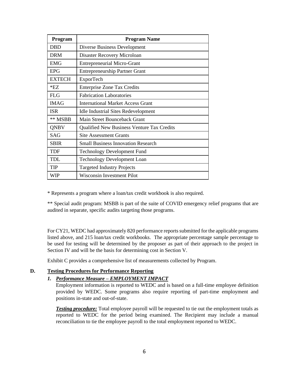| Program       | <b>Program Name</b>                               |
|---------------|---------------------------------------------------|
| <b>DBD</b>    | Diverse Business Development                      |
| <b>DRM</b>    | Disaster Recovery Microloan                       |
| <b>EMG</b>    | <b>Entrepreneurial Micro-Grant</b>                |
| <b>EPG</b>    | <b>Entrepreneurship Partner Grant</b>             |
| <b>EXTECH</b> | ExporTech                                         |
| $*$ EZ        | <b>Enterprise Zone Tax Credits</b>                |
| FLG           | <b>Fabrication Laboratories</b>                   |
| <b>IMAG</b>   | International Market Access Grant                 |
| <b>ISR</b>    | <b>Idle Industrial Sites Redevelopment</b>        |
| ** MSBB       | Main Street Bounceback Grant                      |
| <b>ONBV</b>   | <b>Qualified New Business Venture Tax Credits</b> |
| <b>SAG</b>    | <b>Site Assessment Grants</b>                     |
| <b>SBIR</b>   | <b>Small Business Innovation Research</b>         |
| TDF           | <b>Technology Development Fund</b>                |
| TDL.          | <b>Technology Development Loan</b>                |
| TIP           | <b>Targeted Industry Projects</b>                 |
| WIP           | Wisconsin Investment Pilot                        |

\* Represents a program where a loan/tax credit workbook is also required.

\*\* Special audit program: MSBB is part of the suite of COVID emergency relief programs that are audited in separate, specific audits targeting those programs.

For CY21, WEDC had approximately 820 performance reports submitted for the applicable programs listed above, and 215 loan/tax credit workbooks. The appropriate percentage sample percentage to be used for testing will be determined by the proposer as part of their approach to the project in Section IV and will be the basis for determining cost in Section V.

Exhibit C provides a comprehensive list of measurements collected by Program.

#### <span id="page-5-1"></span><span id="page-5-0"></span>**D. Testing Procedures for Performance Reporting**

#### *1. Performance Measure – EMPLOYMENT IMPACT*

Employment information is reported to WEDC and is based on a full-time employee definition provided by WEDC. Some programs also require reporting of part-time employment and positions in-state and out-of-state.

<span id="page-5-2"></span>**Testing procedure:** Total employee payroll will be requested to tie out the employment totals as reported to WEDC for the period being examined. The Recipient may include a manual reconciliation to tie the employee payroll to the total employment reported to WEDC.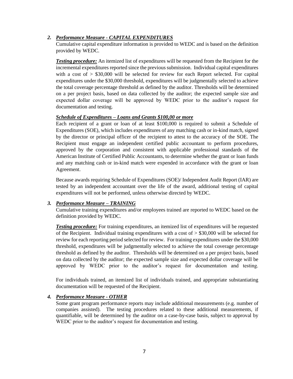#### <span id="page-6-0"></span>*2. Performance Measure - CAPITAL EXPENDITURES*

Cumulative capital expenditure information is provided to WEDC and is based on the definition provided by WEDC.

<span id="page-6-1"></span>*Testing procedure:* An itemized list of expenditures will be requested from the Recipient for the incremental expenditures reported since the previous submission. Individual capital expenditures with a cost of  $>$  \$30,000 will be selected for review for each Report selected. For capital expenditures under the \$30,000 threshold, expenditures will be judgmentally selected to achieve the total coverage percentage threshold as defined by the auditor. Thresholds will be determined on a per project basis, based on data collected by the auditor; the expected sample size and expected dollar coverage will be approved by WEDC prior to the auditor's request for documentation and testing.

#### <span id="page-6-2"></span>*Schedule of Expenditures – Loans and Grants \$100,00 or more*

Each recipient of a grant or loan of at least \$100,000 is required to submit a Schedule of Expenditures (SOE), which includes expenditures of any matching cash or in-kind match, signed by the director or principal officer of the recipient to attest to the accuracy of the SOE. The Recipient must engage an independent certified public accountant to perform procedures, approved by the corporation and consistent with applicable professional standards of the American Institute of Certified Public Accountants, to determine whether the grant or loan funds and any matching cash or in-kind match were expended in accordance with the grant or loan Agreement.

Because awards requiring Schedule of Expenditures (SOE)/ Independent Audit Report (IAR) are tested by an independent accountant over the life of the award, additional testing of capital expenditures will not be performed, unless otherwise directed by WEDC.

#### <span id="page-6-3"></span>*3. Performance Measure – TRAINING*

Cumulative training expenditures and/or employees trained are reported to WEDC based on the definition provided by WEDC.

<span id="page-6-4"></span>*Testing procedure:* For training expenditures, an itemized list of expenditures will be requested of the Recipient. Individual training expenditures with a cost of  $>$  \$30,000 will be selected for review for each reporting period selected for review. For training expenditures under the \$30,000 threshold, expenditures will be judgmentally selected to achieve the total coverage percentage threshold as defined by the auditor. Thresholds will be determined on a per project basis, based on data collected by the auditor; the expected sample size and expected dollar coverage will be approved by WEDC prior to the auditor's request for documentation and testing.

For individuals trained, an itemized list of individuals trained, and appropriate substantiating documentation will be requested of the Recipient.

#### <span id="page-6-5"></span>*4. Performance Measure - OTHER*

Some grant program performance reports may include additional measurements (e.g. number of companies assisted). The testing procedures related to these additional measurements, if quantifiable, will be determined by the auditor on a case-by-case basis, subject to approval by WEDC prior to the auditor's request for documentation and testing.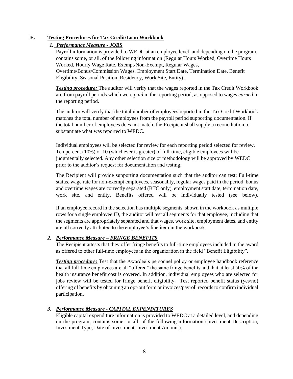#### <span id="page-7-0"></span>**E. Testing Procedures for Tax Credit/Loan Workbook**

#### <span id="page-7-1"></span>*1. Performance Measure - JOBS*

Payroll information is provided to WEDC at an employee level, and depending on the program, contains some, or all, of the following information (Regular Hours Worked, Overtime Hours Worked, Hourly Wage Rate, Exempt/Non-Exempt, Regular Wages, Overtime/Bonus/Commission Wages, Employment Start Date, Termination Date, Benefit

Eligibility, Seasonal Position, Residency, Work Site, Entity).

<span id="page-7-2"></span>*Testing procedure:* The auditor will verify that the wages reported in the Tax Credit Workbook are from payroll periods which were *paid* in the reporting period, as opposed to wages *earned* in the reporting period.

The auditor will verify that the total number of employees reported in the Tax Credit Workbook matches the total number of employees from the payroll period supporting documentation. If the total number of employees does not match, the Recipient shall supply a reconciliation to substantiate what was reported to WEDC.

Individual employees will be selected for review for each reporting period selected for review. Ten percent (10%) or 10 (whichever is greater) of full-time, eligible employees will be judgmentally selected. Any other selection size or methodology will be approved by WEDC prior to the auditor's request for documentation and testing.

The Recipient will provide supporting documentation such that the auditor can test: Full-time status, wage rate for non-exempt employees, seasonality, regular wages paid in the period, bonus and overtime wages are correctly separated (BTC only), employment start date, termination date, work site, and entity. Benefits offered will be individually tested (see below).

If an employee record in the selection has multiple segments, shown in the workbook as multiple rows for a single employee ID, the auditor will test all segments for that employee, including that the segments are appropriately separated and that wages, work site, employment dates, and entity are all correctly attributed to the employee's line item in the workbook.

#### <span id="page-7-3"></span>*2. Performance Measure – FRINGE BENEFITS*

The Recipient attests that they offer fringe benefits to full-time employees included in the award as offered to other full-time employees in the organization in the field "Benefit Eligibility".

*Testing procedure:* Test that the Awardee's personnel policy or employee handbook reference that all full-time employees are all "offered" the same fringe benefits and that at least 50% of the health insurance benefit cost is covered. In addition, individual employees who are selected for jobs review will be tested for fringe benefit eligibility. Test reported benefit status (yes/no) offering of benefits by obtaining an opt-out form or invoices/payroll records to confirm individual participation**.**

#### <span id="page-7-4"></span>*3. Performance Measure - CAPITAL EXPENDITURES*

Eligible capital expenditure information is provided to WEDC at a detailed level, and depending on the program, contains some, or all, of the following information (Investment Description, Investment Type, Date of Investment, Investment Amount).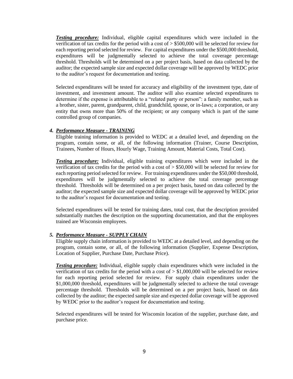<span id="page-8-0"></span>*Testing procedure:* Individual, eligible capital expenditures which were included in the verification of tax credits for the period with a cost of > \$500,000 will be selected for review for each reporting period selected for review. For capital expenditures under the \$500,000 threshold, expenditures will be judgmentally selected to achieve the total coverage percentage threshold. Thresholds will be determined on a per project basis, based on data collected by the auditor; the expected sample size and expected dollar coverage will be approved by WEDC prior to the auditor's request for documentation and testing.

Selected expenditures will be tested for accuracy and eligibility of the investment type, date of investment, and investment amount. The auditor will also examine selected expenditures to determine if the expense is attributable to a "related party or person": a family member, such as a brother, sister, parent, grandparent, child, grandchild, spouse, or in-laws; a corporation, or any entity that owns more than 50% of the recipient; or any company which is part of the same controlled group of companies.

#### <span id="page-8-1"></span>*4. Performance Measure - TRAINING*

Eligible training information is provided to WEDC at a detailed level, and depending on the program, contain some, or all, of the following information (Trainer, Course Description, Trainees, Number of Hours, Hourly Wage, Training Amount, Material Costs, Total Cost).

<span id="page-8-2"></span>*Testing procedure:* Individual, eligible training expenditures which were included in the verification of tax credits for the period with a cost of > \$50,000 will be selected for review for each reporting period selected for review. For training expenditures under the \$50,000 threshold, expenditures will be judgmentally selected to achieve the total coverage percentage threshold. Thresholds will be determined on a per project basis, based on data collected by the auditor; the expected sample size and expected dollar coverage will be approved by WEDC prior to the auditor's request for documentation and testing.

Selected expenditures will be tested for training dates, total cost, that the description provided substantially matches the description on the supporting documentation, and that the employees trained are Wisconsin employees.

#### <span id="page-8-3"></span>*5. Performance Measure - SUPPLY CHAIN*

Eligible supply chain information is provided to WEDC at a detailed level, and depending on the program, contain some, or all, of the following information (Supplier, Expense Description, Location of Supplier, Purchase Date, Purchase Price).

<span id="page-8-4"></span>*Testing procedure:* Individual, eligible supply chain expenditures which were included in the verification of tax credits for the period with a cost of  $> $1,000,000$  will be selected for review for each reporting period selected for review. For supply chain expenditures under the \$1,000,000 threshold, expenditures will be judgmentally selected to achieve the total coverage percentage threshold. Thresholds will be determined on a per project basis, based on data collected by the auditor; the expected sample size and expected dollar coverage will be approved by WEDC prior to the auditor's request for documentation and testing.

Selected expenditures will be tested for Wisconsin location of the supplier, purchase date, and purchase price.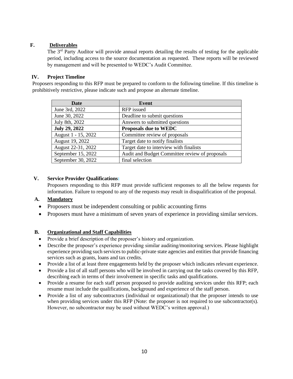#### <span id="page-9-0"></span>**F. Deliverables**

The 3<sup>rd</sup> Party Auditor will provide annual reports detailing the results of testing for the applicable period, including access to the source documentation as requested. These reports will be reviewed by management and will be presented to WEDC's Audit Committee.

#### <span id="page-9-1"></span>**IV. Project Timeline**

Proposers responding to this RFP must be prepared to conform to the following timeline. If this timeline is prohibitively restrictive, please indicate such and propose an alternate timeline.

| <b>Date</b>          | Event                                          |
|----------------------|------------------------------------------------|
| June 3rd, 2022       | RFP issued                                     |
| June 30, 2022        | Deadline to submit questions                   |
| July 8th, 2022       | Answers to submitted questions                 |
| <b>July 29, 2022</b> | <b>Proposals due to WEDC</b>                   |
| August 1 - 15, 2022  | Committee review of proposals                  |
| August 19, 2022      | Target date to notify finalists                |
| August 22-31, 2022   | Target date to interview with finalists        |
| September 15, 2022   | Audit and Budget Committee review of proposals |
| September 30, 2022   | final selection                                |

#### <span id="page-9-2"></span>**V. Service Provider Qualifications:**

Proposers responding to this RFP must provide sufficient responses to all the below requests for information. Failure to respond to any of the requests may result in disqualification of the proposal.

#### <span id="page-9-3"></span>**A. Mandatory**

- Proposers must be independent consulting or public accounting firms
- Proposers must have a minimum of seven years of experience in providing similar services.

#### <span id="page-9-4"></span>**B. Organizational and Staff Capabilities**

- Provide a brief description of the proposer's history and organization.
- Describe the proposer's experience providing similar auditing/monitoring services. Please highlight experience providing such services to public-private state agencies and entities that provide financing services such as grants, loans and tax credits.
- Provide a list of at least three engagements held by the proposer which indicates relevant experience.
- Provide a list of all staff persons who will be involved in carrying out the tasks covered by this RFP, describing each in terms of their involvement in specific tasks and qualifications.
- Provide a resume for each staff person proposed to provide auditing services under this RFP; each resume must include the qualifications, background and experience of the staff person.
- Provide a list of any subcontractors (individual or organizational) that the proposer intends to use when providing services under this RFP (Note: the proposer is not required to use subcontractor(s). However, no subcontractor may be used without WEDC's written approval.)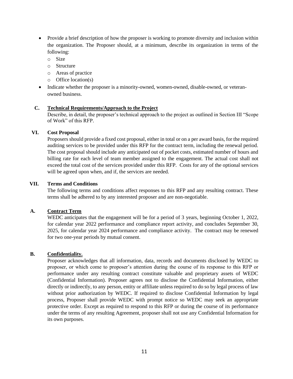- Provide a brief description of how the proposer is working to promote diversity and inclusion within the organization. The Proposer should, at a minimum, describe its organization in terms of the following:
	- o Size
	- o Structure
	- o Areas of practice
	- o Office location(s)
- Indicate whether the proposer is a minority-owned, women-owned, disable-owned, or veteranowned business.

#### <span id="page-10-0"></span>**C. Technical Requirements/Approach to the Project**

Describe, in detail, the proposer's technical approach to the project as outlined in Section III "Scope of Work" of this RFP.

#### <span id="page-10-1"></span>**VI. Cost Proposal**

Proposers should provide a fixed cost proposal, either in total or on a per award basis, for the required auditing services to be provided under this RFP for the contract term, including the renewal period. The cost proposal should include any anticipated out of pocket costs, estimated number of hours and billing rate for each level of team member assigned to the engagement. The actual cost shall not exceed the total cost of the services provided under this RFP. Costs for any of the optional services will be agreed upon when, and if, the services are needed.

#### <span id="page-10-2"></span>**VII. Terms and Conditions**

The following terms and conditions affect responses to this RFP and any resulting contract. These terms shall be adhered to by any interested proposer and are non-negotiable.

#### <span id="page-10-3"></span>**A. Contract Term**

WEDC anticipates that the engagement will be for a period of 3 years, beginning October 1, 2022, for calendar year 2022 performance and compliance report activity, and concludes September 30, 2025, for calendar year 2024 performance and compliance activity. The contract may be renewed for two one-year periods by mutual consent.

#### <span id="page-10-4"></span>**B. Confidentiality.**

Proposer acknowledges that all information, data, records and documents disclosed by WEDC to proposer, or which come to proposer's attention during the course of its response to this RFP or performance under any resulting contract constitute valuable and proprietary assets of WEDC (Confidential Information). Proposer agrees not to disclose the Confidential Information, either directly or indirectly, to any person, entity or affiliate unless required to do so by legal process of law without prior authorization by WEDC. If required to disclose Confidential Information by legal process, Proposer shall provide WEDC with prompt notice so WEDC may seek an appropriate protective order. Except as required to respond to this RFP or during the course of its performance under the terms of any resulting Agreement, proposer shall not use any Confidential Information for its own purposes.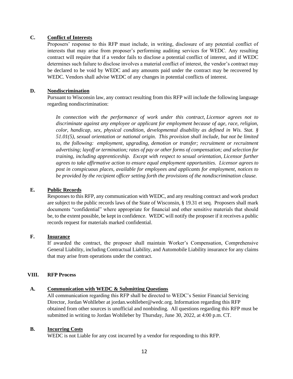#### <span id="page-11-0"></span>**C. Conflict of Interests**

Proposers' response to this RFP must include, in writing, disclosure of any potential conflict of interests that may arise from proposer's performing auditing services for WEDC. Any resulting contract will require that if a vendor fails to disclose a potential conflict of interest, and if WEDC determines such failure to disclose involves a material conflict of interest, the vendor's contract may be declared to be void by WEDC and any amounts paid under the contract may be recovered by WEDC. Vendors shall advise WEDC of any changes in potential conflicts of interest.

#### <span id="page-11-1"></span>**D. Nondiscrimination**

Pursuant to Wisconsin law, any contract resulting from this RFP will include the following language regarding nondiscrimination:

*In connection with the performance of work under this contract, Licensor agrees not to discriminate against any employee or applicant for employment because of age, race, religion, color, handicap, sex, physical condition, developmental disability as defined in Wis. Stat. § 51.01(5), sexual orientation or national origin. This provision shall include, but not be limited to, the following: employment, upgrading, demotion or transfer; recruitment or recruitment advertising; layoff or termination; rates of pay or other forms of compensation; and selection for training, including apprenticeship. Except with respect to sexual orientation, Licensor further agrees to take affirmative action to ensure equal employment opportunities. Licensor agrees to post in conspicuous places, available for employees and applicants for employment, notices to be provided by the recipient officer setting forth the provisions of the nondiscrimination clause.*

#### <span id="page-11-2"></span>**E. Public Records**

Responses to this RFP, any communication with WEDC, and any resulting contract and work product are subject to the public records laws of the State of Wisconsin, § 19.31 et seq. Proposers shall mark documents "confidential" where appropriate for financial and other sensitive materials that should be, to the extent possible, be kept in confidence. WEDC will notify the proposer if it receives a public records request for materials marked confidential.

#### <span id="page-11-3"></span>**F. Insurance**

If awarded the contract, the proposer shall maintain Worker's Compensation, Comprehensive General Liability, including Contractual Liability, and Automobile Liability insurance for any claims that may arise from operations under the contract.

#### <span id="page-11-4"></span>**VIII. RFP Process**

#### <span id="page-11-5"></span>**A. Communication with WEDC & Submitting Questions**

All communication regarding this RFP shall be directed to WEDC's Senior Financial Servicing Director, Jordan Wohlleber at jordan.wohlleber@wedc.org[.](mailto:natalya.krutova@wedc.org) Information regarding this RFP obtained from other sources is unofficial and nonbinding. All questions regarding this RFP must be submitted in writing to Jordan Wohlleber by Thursday, June 30, 2022, at 4:00 p.m. CT.

#### <span id="page-11-6"></span>**B. Incurring Costs**

WEDC is not Liable for any cost incurred by a vendor for responding to this RFP.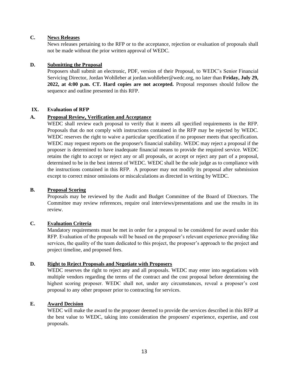#### <span id="page-12-0"></span>**C. News Releases**

News releases pertaining to the RFP or to the acceptance, rejection or evaluation of proposals shall not be made without the prior written approval of WEDC.

#### <span id="page-12-1"></span>**D. Submitting the Proposal**

Proposers shall submit an electronic, PDF, version of their Proposal, to WEDC's Senior Financial Servicing Director, Jordan Wohlleber at jordan.wohlleber@wedc.org, no later than **Friday, July 29, 2022, at 4:00 p.m. CT. Hard copies are not accepted.** Proposal responses should follow the sequence and outline presented in this RFP.

#### <span id="page-12-2"></span>**IX. Evaluation of RFP**

#### <span id="page-12-3"></span>**A. Proposal Review, Verification and Acceptance**

WEDC shall review each proposal to verify that it meets all specified requirements in the RFP. Proposals that do not comply with instructions contained in the RFP may be rejected by WEDC. WEDC reserves the right to waive a particular specification if no proposer meets that specification. WEDC may request reports on the proposer's financial stability. WEDC may reject a proposal if the proposer is determined to have inadequate financial means to provide the required service. WEDC retains the right to accept or reject any or all proposals, or accept or reject any part of a proposal, determined to be in the best interest of WEDC. WEDC shall be the sole judge as to compliance with the instructions contained in this RFP. A proposer may not modify its proposal after submission except to correct minor omissions or miscalculations as directed in writing by WEDC.

#### <span id="page-12-4"></span>**B. Proposal Scoring**

Proposals may be reviewed by the Audit and Budget Committee of the Board of Directors. The Committee may review references, require oral interviews/presentations and use the results in its review.

#### <span id="page-12-5"></span>**C. Evaluation Criteria**

Mandatory requirements must be met in order for a proposal to be considered for award under this RFP. Evaluation of the proposals will be based on the proposer's relevant experience providing like services, the quality of the team dedicated to this project, the proposer's approach to the project and project timeline, and proposed fees.

#### <span id="page-12-6"></span>**D. Right to Reject Proposals and Negotiate with Proposers**

WEDC reserves the right to reject any and all proposals. WEDC may enter into negotiations with multiple vendors regarding the terms of the contract and the cost proposal before determining the highest scoring proposer. WEDC shall not, under any circumstances, reveal a proposer's cost proposal to any other proposer prior to contracting for services.

#### <span id="page-12-7"></span>**E. Award Decision**

WEDC will make the award to the proposer deemed to provide the services described in this RFP at the best value to WEDC, taking into consideration the proposers' experience, expertise, and cost proposals.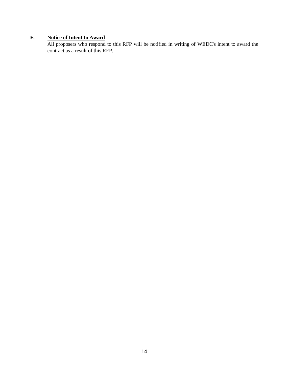### <span id="page-13-0"></span>**F. Notice of Intent to Award**

All proposers who respond to this RFP will be notified in writing of WEDC's intent to award the contract as a result of this RFP.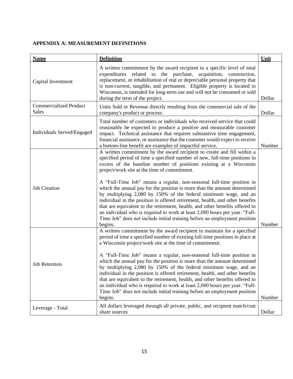#### <span id="page-14-0"></span>**APPENDIX A: MEASUREMENT DEFINITIONS**

| <b>Name</b>                                   | <b>Definition</b>                                                                                                                                                                                                                                                                                                                                                                                                                                                                                                                                                                                                                                                                                                                                                                                                                           | Unit   |
|-----------------------------------------------|---------------------------------------------------------------------------------------------------------------------------------------------------------------------------------------------------------------------------------------------------------------------------------------------------------------------------------------------------------------------------------------------------------------------------------------------------------------------------------------------------------------------------------------------------------------------------------------------------------------------------------------------------------------------------------------------------------------------------------------------------------------------------------------------------------------------------------------------|--------|
| Capital Investment                            | A written commitment by the award recipient to a specific level of total<br>expenditures related to the purchase, acquisition, construction,<br>replacement, or rehabilitation of real or depreciable personal property that<br>is non-current, tangible, and permanent. Eligible property is located in<br>Wisconsin, is intended for long-term use and will not be consumed or sold<br>during the term of the project.                                                                                                                                                                                                                                                                                                                                                                                                                    | Dollar |
| <b>Commercialized Product</b><br><b>Sales</b> | Units Sold or Revenue directly resulting from the commercial sale of the<br>company's product or process.                                                                                                                                                                                                                                                                                                                                                                                                                                                                                                                                                                                                                                                                                                                                   | Dollar |
| Individuals Served/Engaged                    | Total number of customers or individuals who received service that could<br>reasonably be expected to produce a positive and measurable customer<br>impact. Technical assistance that requires substantive time engagement,<br>financial assistance, or assistance that the customer would expect to receive<br>a bottom-line benefit are examples of impactful service.                                                                                                                                                                                                                                                                                                                                                                                                                                                                    | Number |
| <b>Job Creation</b>                           | A written commitment by the award recipient to create and fill within a<br>specified period of time a specified number of new, full-time positions in<br>excess of the baseline number of positions existing at a Wisconsin<br>project/work site at the time of commitment.<br>A "Full-Time Job" means a regular, non-seasonal full-time position in<br>which the annual pay for the position is more than the amount determined<br>by multiplying 2,080 by 150% of the federal minimum wage, and an<br>individual in the position is offered retirement, health, and other benefits<br>that are equivalent to the retirement, health, and other benefits offered to<br>an individual who is required to work at least 2,080 hours per year. "Full-<br>Time Job" does not include initial training before an employment position<br>begins. | Number |
| <b>Job Retention</b>                          | A written commitment by the award recipient to maintain for a specified<br>period of time a specified number of existing full-time positions in place at<br>a Wisconsin project/work site at the time of commitment.<br>A "Full-Time Job" means a regular, non-seasonal full-time position in<br>which the annual pay for the position is more than the amount determined<br>by multiplying 2,080 by 150% of the federal minimum wage, and an<br>individual in the position is offered retirement, health, and other benefits<br>that are equivalent to the retirement, health, and other benefits offered to<br>an individual who is required to work at least 2,080 hours per year. "Full-<br>Time Job" does not include initial training before an employment position<br>begins.                                                        | Number |
| Leverage - Total                              | All dollars leveraged through all private, public, and recipient match/cost<br>share sources                                                                                                                                                                                                                                                                                                                                                                                                                                                                                                                                                                                                                                                                                                                                                | Dollar |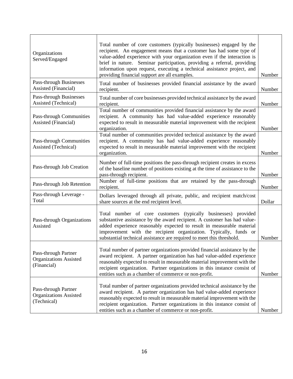| Organizations<br>Served/Engaged                                      | Total number of core customers (typically businesses) engaged by the<br>recipient. An engagement means that a customer has had some type of<br>value-added experience with your organization even if the interaction is<br>brief in nature. Seminar participation, providing a referral, providing<br>information upon request, executing a technical assistance project, and<br>providing financial support are all examples. | Number |
|----------------------------------------------------------------------|--------------------------------------------------------------------------------------------------------------------------------------------------------------------------------------------------------------------------------------------------------------------------------------------------------------------------------------------------------------------------------------------------------------------------------|--------|
| Pass-through Businesses<br>Assisted (Financial)                      | Total number of businesses provided financial assistance by the award<br>recipient.                                                                                                                                                                                                                                                                                                                                            | Number |
| Pass-through Businesses<br>Assisted (Technical)                      | Total number of core businesses provided technical assistance by the award<br>recipient.                                                                                                                                                                                                                                                                                                                                       | Number |
| Pass-through Communities<br>Assisted (Financial)                     | Total number of communities provided financial assistance by the award<br>recipient. A community has had value-added experience reasonably<br>expected to result in measurable material improvement with the recipient<br>organization.                                                                                                                                                                                        | Number |
| Pass-through Communities<br>Assisted (Technical)                     | Total number of communities provided technical assistance by the award<br>recipient. A community has had value-added experience reasonably<br>expected to result in measurable material improvement with the recipient<br>organization.                                                                                                                                                                                        | Number |
| Pass-through Job Creation                                            | Number of full-time positions the pass-through recipient creates in excess<br>of the baseline number of positions existing at the time of assistance to the<br>pass-through recipient.                                                                                                                                                                                                                                         | Number |
| Pass-through Job Retention                                           | Number of full-time positions that are retained by the pass-through<br>recipient.                                                                                                                                                                                                                                                                                                                                              | Number |
| Pass-through Leverage -<br>Total                                     | Dollars leveraged through all private, public, and recipient match/cost<br>share sources at the end recipient level.                                                                                                                                                                                                                                                                                                           | Dollar |
| Pass-through Organizations<br>Assisted                               | Total number of core customers (typically businesses) provided<br>substantive assistance by the award recipient. A customer has had value-<br>added experience reasonably expected to result in measurable material<br>improvement with the recipient organization. Typically, funds or<br>substantial technical assistance are required to meet this threshold.                                                               | Number |
| Pass-through Partner<br><b>Organizations Assisted</b><br>(Financial) | Total number of partner organizations provided financial assistance by the<br>award recipient. A partner organization has had value-added experience<br>reasonably expected to result in measurable material improvement with the<br>recipient organization. Partner organizations in this instance consist of<br>entities such as a chamber of commerce or non-profit.                                                        | Number |
| Pass-through Partner<br><b>Organizations Assisted</b><br>(Technical) | Total number of partner organizations provided technical assistance by the<br>award recipient. A partner organization has had value-added experience<br>reasonably expected to result in measurable material improvement with the<br>recipient organization. Partner organizations in this instance consist of<br>entities such as a chamber of commerce or non-profit.                                                        | Number |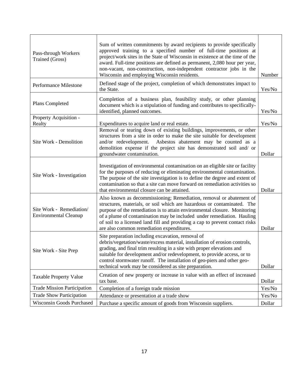| Pass-through Workers<br><b>Trained (Gross)</b>           | Sum of written commitments by award recipients to provide specifically<br>approved training to a specified number of full-time positions at<br>project/work sites in the State of Wisconsin in existence at the time of the<br>award. Full-time positions are defined as permanent, 2,080 hour per year,<br>non-vacant, non-construction, non-independent contractor jobs in the<br>Wisconsin and employing Wisconsin residents.   | Number |
|----------------------------------------------------------|------------------------------------------------------------------------------------------------------------------------------------------------------------------------------------------------------------------------------------------------------------------------------------------------------------------------------------------------------------------------------------------------------------------------------------|--------|
| Performance Milestone                                    | Defined stage of the project, completion of which demonstrates impact to<br>the State.                                                                                                                                                                                                                                                                                                                                             | Yes/No |
| Plans Completed                                          | Completion of a business plan, feasibility study, or other planning<br>document which is a stipulation of funding and contributes to specifically-<br>identified, planned outcomes.                                                                                                                                                                                                                                                | Yes/No |
| Property Acquisition -<br>Realty                         | Expenditures to acquire land or real estate.                                                                                                                                                                                                                                                                                                                                                                                       | Yes/No |
| Site Work - Demolition                                   | Removal or tearing down of existing buildings, improvements, or other<br>structures from a site in order to make the site suitable for development<br>and/or redevelopment. Asbestos abatement may be counted as a<br>demolition expense if the project site has demonstrated soil and/ or<br>groundwater contamination.                                                                                                           | Dollar |
| Site Work - Investigation                                | Investigation of environmental contamination on an eligible site or facility<br>for the purposes of reducing or eliminating environmental contamination.<br>The purpose of the site investigation is to define the degree and extent of<br>contamination so that a site can move forward on remediation activities so<br>that environmental closure can be attained.                                                               | Dollar |
| Site Work - Remediation/<br><b>Environmental Cleanup</b> | Also known as decommissioning; Remediation, removal or abatement of<br>structures, materials, or soil which are hazardous or contaminated. The<br>purpose of the remediation is to attain environmental closure. Monitoring<br>of a plume of contamination may be included under remediation. Hauling<br>of soil to a licensed land fill and providing a cap to prevent contact risks<br>are also common remediation expenditures. | Dollar |
| Site Work - Site Prep                                    | Site preparation including excavation, removal of<br>debris/vegetation/waste/excess material, installation of erosion controls,<br>grading, and final trim resulting in a site with proper elevations and<br>suitable for development and/or redevelopment, to provide access, or to<br>control stormwater runoff. The installation of geo-piers and other geo-<br>technical work may be considered as site preparation.           | Dollar |
| <b>Taxable Property Value</b>                            | Creation of new property or increase in value with an effect of increased<br>tax base.                                                                                                                                                                                                                                                                                                                                             | Dollar |
| <b>Trade Mission Participation</b>                       | Completion of a foreign trade mission                                                                                                                                                                                                                                                                                                                                                                                              | Yes/No |
| <b>Trade Show Participation</b>                          | Attendance or presentation at a trade show                                                                                                                                                                                                                                                                                                                                                                                         | Yes/No |
| <b>Wisconsin Goods Purchased</b>                         | Purchase a specific amount of goods from Wisconsin suppliers.                                                                                                                                                                                                                                                                                                                                                                      | Dollar |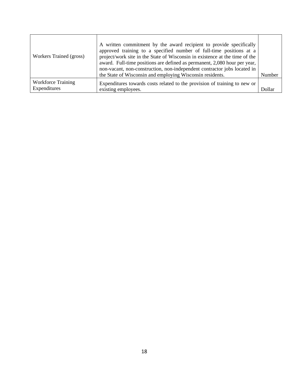| Workers Trained (gross)                   | A written commitment by the award recipient to provide specifically<br>approved training to a specified number of full-time positions at a<br>project/work site in the State of Wisconsin in existence at the time of the<br>award. Full-time positions are defined as permanent, 2,080 hour per year,<br>non-vacant, non-construction, non-independent contractor jobs located in<br>the State of Wisconsin and employing Wisconsin residents. | Number |
|-------------------------------------------|-------------------------------------------------------------------------------------------------------------------------------------------------------------------------------------------------------------------------------------------------------------------------------------------------------------------------------------------------------------------------------------------------------------------------------------------------|--------|
| <b>Workforce Training</b><br>Expenditures | Expenditures towards costs related to the provision of training to new or<br>existing employees.                                                                                                                                                                                                                                                                                                                                                | Dollar |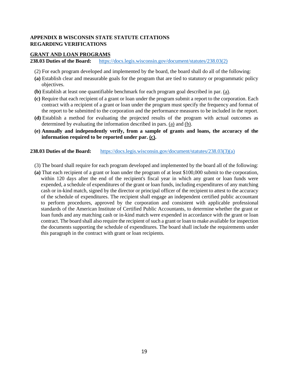#### <span id="page-18-0"></span>**APPENDIX B WISCONSIN STATE STATUTE CITATIONS REGARDING VERIFICATIONS**

#### <span id="page-18-1"></span>**GRANT AND LOAN PROGRAMS**

**238.03 Duties of the Board:** [https://docs.legis.wisconsin.gov/document/statutes/238.03\(2\)](https://docs.legis.wisconsin.gov/document/statutes/238.03(2))

- (2) For each program developed and implemented by the board, the board shall do all of the following:
- **(a)** Establish clear and measurable goals for the program that are tied to statutory or programmatic policy objectives.
- **(b)** Establish at least one quantifiable benchmark for each program goal described in par. [\(a\).](https://docs.legis.wisconsin.gov/document/statutes/238.03(2)(a))
- **(c)** Require that each recipient of a grant or loan under the program submit a report to the corporation. Each contract with a recipient of a grant or loan under the program must specify the frequency and format of the report to be submitted to the corporation and the performance measures to be included in the report.
- **(d)** Establish a method for evaluating the projected results of the program with actual outcomes as determined by evaluating the information described in pars. [\(a\)](https://docs.legis.wisconsin.gov/document/statutes/238.03(2)(a)) and [\(b\).](https://docs.legis.wisconsin.gov/document/statutes/238.03(2)(b))
- **(e) Annually and independently verify, from a sample of grants and loans, the accuracy of the information required to be reported under par. [\(c\).](https://docs.legis.wisconsin.gov/document/statutes/238.03(2)(c))**

#### **238.03 Duties of the Board:** [https://docs.legis.wisconsin.gov/document/statutes/238.03\(3\)\(a\)](https://docs.legis.wisconsin.gov/document/statutes/238.03(3)(a))

- (3) The board shall require for each program developed and implemented by the board all of the following:
- **(a)** That each recipient of a grant or loan under the program of at least \$100,000 submit to the corporation, within 120 days after the end of the recipient's fiscal year in which any grant or loan funds were expended, a schedule of expenditures of the grant or loan funds, including expenditures of any matching cash or in-kind match, signed by the director or principal officer of the recipient to attest to the accuracy of the schedule of expenditures. The recipient shall engage an independent certified public accountant to perform procedures, approved by the corporation and consistent with applicable professional standards of the American Institute of Certified Public Accountants, to determine whether the grant or loan funds and any matching cash or in-kind match were expended in accordance with the grant or loan contract. The board shall also require the recipient of such a grant or loan to make available for inspection the documents supporting the schedule of expenditures. The board shall include the requirements under this paragraph in the contract with grant or loan recipients.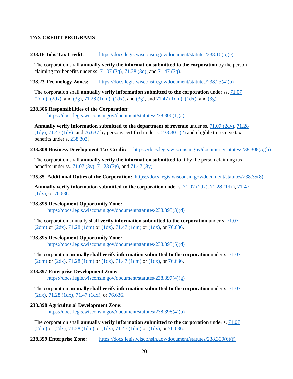#### <span id="page-19-0"></span>**TAX CREDIT PROGRAMS**

#### **238.16 Jobs Tax Credit:** [https://docs.legis.wisconsin.gov/document/statutes/238.16\(5\)\(e\)](https://docs.legis.wisconsin.gov/document/statutes/238.16(5)(e))

The corporation shall **annually verify the information submitted to the corporation** by the person claiming tax benefits under ss.  $71.07 (3q)$ ,  $71.28 (3q)$ , and  $71.47 (3q)$ .

#### **238.23 Technology Zones:** [https://docs.legis.wisconsin.gov/document/statutes/238.23\(4\)\(b\)](https://docs.legis.wisconsin.gov/document/statutes/238.23(4)(b))

The corporation shall **annually verify information submitted to the corporation** under ss. [71.07](https://docs.legis.wisconsin.gov/document/statutes/71.07(2dm))   $(2dm)$ ,  $(2dx)$ , and  $(3g)$ ,  $71.28$   $(1dm)$ ,  $(1dx)$ , and  $(3g)$ , and  $71.47$   $(1dm)$ ,  $(1dx)$ , and  $(3g)$ .

#### **238.306 Responsibilities of the Corporation:**

[https://docs.legis.wisconsin.gov/document/statutes/238.306\(1\)\(a\)](https://docs.legis.wisconsin.gov/document/statutes/238.306(1)(a))

**Annually verify information submitted to the department of revenue** under ss. [71.07 \(2dy\),](https://docs.legis.wisconsin.gov/document/statutes/71.07(2dy)) [71.28](https://docs.legis.wisconsin.gov/document/statutes/71.28(1dy))  [\(1dy\),](https://docs.legis.wisconsin.gov/document/statutes/71.28(1dy)) [71.47 \(1dy\),](https://docs.legis.wisconsin.gov/document/statutes/71.47(1dy)) and [76.637](https://docs.legis.wisconsin.gov/document/statutes/76.637) by persons certified under s. [238.301 \(2\)](https://docs.legis.wisconsin.gov/document/statutes/238.301(2)) and eligible to receive tax benefits under s. [238.303.](https://docs.legis.wisconsin.gov/document/statutes/238.303)

#### **238.308 Business Development Tax Credit:** [https://docs.legis.wisconsin.gov/document/statutes/238.308\(5\)\(b\)](https://docs.legis.wisconsin.gov/document/statutes/238.308(5)(b))

The corporation shall **annually verify the information submitted to it** by the person claiming tax benefits under ss. [71.07 \(3y\),](https://docs.legis.wisconsin.gov/document/statutes/71.07(3y)) [71.28 \(3y\),](https://docs.legis.wisconsin.gov/document/statutes/71.28(3y)) and [71.47 \(3y\)](https://docs.legis.wisconsin.gov/document/statutes/71.47(3y))

#### **235.35 Additional Duties of the Corporation:** [https://docs.legis.wisconsin.gov/document/statutes/238.35\(8\)](https://docs.legis.wisconsin.gov/document/statutes/238.35(8))

**Annually verify information submitted to the corporation** under s. [71.07 \(2dx\),](https://docs.legis.wisconsin.gov/document/statutes/71.07(2dx)) [71.28 \(1dx\),](https://docs.legis.wisconsin.gov/document/statutes/71.28(1dx)) [71.47](https://docs.legis.wisconsin.gov/document/statutes/71.47(1dx))  [\(1dx\),](https://docs.legis.wisconsin.gov/document/statutes/71.47(1dx)) or [76.636.](https://docs.legis.wisconsin.gov/document/statutes/76.636)

#### **238.395 Development Opportunity Zone:**

[https://docs.legis.wisconsin.gov/document/statutes/238.395\(3\)\(d\)](https://docs.legis.wisconsin.gov/document/statutes/238.395(3)(d))

The corporation annually shall **verify information submitted to the corporation** under s. [71.07](https://docs.legis.wisconsin.gov/document/statutes/71.07(2dm))  [\(2dm\)](https://docs.legis.wisconsin.gov/document/statutes/71.07(2dm)) or [\(2dx\),](https://docs.legis.wisconsin.gov/document/statutes/71.07(2dx)) [71.28 \(1dm\)](https://docs.legis.wisconsin.gov/document/statutes/71.28(1dm)) or [\(1dx\),](https://docs.legis.wisconsin.gov/document/statutes/71.28(1dx)) [71.47 \(1dm\)](https://docs.legis.wisconsin.gov/document/statutes/71.47(1dm)) or [\(1dx\),](https://docs.legis.wisconsin.gov/document/statutes/71.47(1dx)) or [76.636.](https://docs.legis.wisconsin.gov/document/statutes/76.636)

#### **238.395 Development Opportunity Zone:**

[https://docs.legis.wisconsin.gov/document/statutes/238.395\(5\)\(d\)](https://docs.legis.wisconsin.gov/document/statutes/238.395(5)(d))

The corporation **annually shall verify information submitted to the corporation** under s. [71.07](https://docs.legis.wisconsin.gov/document/statutes/71.07(2dm))  [\(2dm\)](https://docs.legis.wisconsin.gov/document/statutes/71.07(2dm)) or [\(2dx\),](https://docs.legis.wisconsin.gov/document/statutes/71.07(2dx)) [71.28 \(1dm\)](https://docs.legis.wisconsin.gov/document/statutes/71.28(1dm)) or [\(1dx\),](https://docs.legis.wisconsin.gov/document/statutes/71.28(1dx)) [71.47 \(1dm\)](https://docs.legis.wisconsin.gov/document/statutes/71.47(1dm)) or [\(1dx\),](https://docs.legis.wisconsin.gov/document/statutes/71.47(1dx)) or [76.636.](https://docs.legis.wisconsin.gov/document/statutes/76.636)

#### **238.397 Enterprise Development Zone:**

[https://docs.legis.wisconsin.gov/document/statutes/238.397\(4\)\(g\)](https://docs.legis.wisconsin.gov/document/statutes/238.397(4)(g))

The corporation **annually shall verify information submitted to the corporation** under s. [71.07](https://docs.legis.wisconsin.gov/document/statutes/71.07(2dx))  [\(2dx\),](https://docs.legis.wisconsin.gov/document/statutes/71.07(2dx)) [71.28 \(1dx\),](https://docs.legis.wisconsin.gov/document/statutes/71.28(1dx)) [71.47 \(1dx\),](https://docs.legis.wisconsin.gov/document/statutes/71.47(1dx)) or [76.636.](https://docs.legis.wisconsin.gov/document/statutes/76.636)

#### **238.398 Agricultural Development Zone:**

[https://docs.legis.wisconsin.gov/document/statutes/238.398\(4\)\(b\)](https://docs.legis.wisconsin.gov/document/statutes/238.398(4)(b))

The corporation shall **annually verify information submitted to the corporation** under s. [71.07](https://docs.legis.wisconsin.gov/document/statutes/71.07(2dm))   $(2dm)$  or  $(2dx)$ ,  $71.28$   $(1dm)$  or  $(1dx)$ ,  $71.47$   $(1dm)$  or  $(1dx)$ , or  $76.636$ .

238.399 Enterprise Zone: [https://docs.legis.wisconsin.gov/document/statutes/238.399\(6\)\(f\)](https://docs.legis.wisconsin.gov/document/statutes/238.399(6)(f))